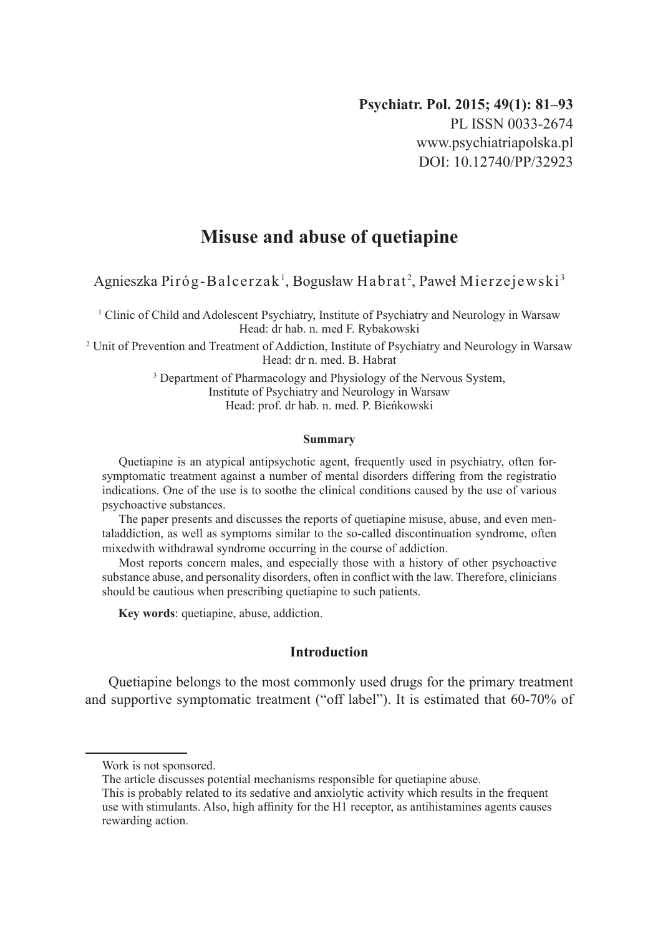# **Misuse and abuse of quetiapine**

Agnieszka Piróg-Balcerzak <sup>1</sup>, Bogusław Habrat <sup>2</sup>, Paweł Mierzejewski <sup>3</sup>

1 Clinic of Child and Adolescent Psychiatry, Institute of Psychiatry and Neurology in Warsaw Head: dr hab. n. med F. Rybakowski

2 Unit of Prevention and Treatment of Addiction, Institute of Psychiatry and Neurology in Warsaw Head: dr n. med. B. Habrat

> <sup>3</sup> Department of Pharmacology and Physiology of the Nervous System, Institute of Psychiatry and Neurology in Warsaw Head: prof. dr hab. n. med. P. Bieńkowski

#### **Summary**

Quetiapine is an atypical antipsychotic agent, frequently used in psychiatry, often forsymptomatic treatment against a number of mental disorders differing from the registratio indications. One of the use is to soothe the clinical conditions caused by the use of various psychoactive substances.

The paper presents and discusses the reports of quetiapine misuse, abuse, and even mentaladdiction, as well as symptoms similar to the so-called discontinuation syndrome, often mixedwith withdrawal syndrome occurring in the course of addiction.

Most reports concern males, and especially those with a history of other psychoactive substance abuse, and personality disorders, often in conflict with the law. Therefore, clinicians should be cautious when prescribing quetiapine to such patients.

**Key words**: quetiapine, abuse, addiction.

## **Introduction**

Quetiapine belongs to the most commonly used drugs for the primary treatment and supportive symptomatic treatment ("off label"). It is estimated that 60-70% of

Work is not sponsored.

The article discusses potential mechanisms responsible for quetiapine abuse.

This is probably related to its sedative and anxiolytic activity which results in the frequent use with stimulants. Also, high affinity for the H1 receptor, as antihistamines agents causes rewarding action.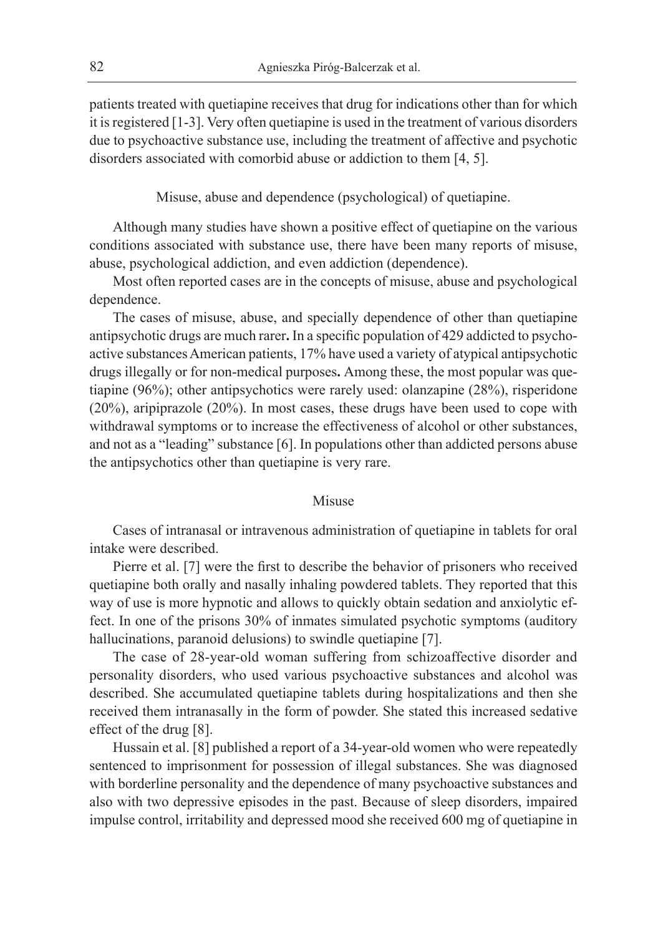patients treated with quetiapine receives that drug for indications other than for which it is registered [1-3]. Very often quetiapine is used in the treatment of various disorders due to psychoactive substance use, including the treatment of affective and psychotic disorders associated with comorbid abuse or addiction to them [4, 5].

Misuse, abuse and dependence (psychological) of quetiapine.

Although many studies have shown a positive effect of quetiapine on the various conditions associated with substance use, there have been many reports of misuse, abuse, psychological addiction, and even addiction (dependence).

Most often reported cases are in the concepts of misuse, abuse and psychological dependence.

The cases of misuse, abuse, and specially dependence of other than quetiapine antipsychotic drugs are much rarer**.** In a specific population of 429 addicted to psychoactive substances American patients, 17% have used a variety of atypical antipsychotic drugs illegally or for non-medical purposes**.** Among these, the most popular was quetiapine (96%); other antipsychotics were rarely used: olanzapine (28%), risperidone (20%), aripiprazole (20%). In most cases, these drugs have been used to cope with withdrawal symptoms or to increase the effectiveness of alcohol or other substances, and not as a "leading" substance [6]. In populations other than addicted persons abuse the antipsychotics other than quetiapine is very rare.

#### Misuse

Cases of intranasal or intravenous administration of quetiapine in tablets for oral intake were described.

Pierre et al. [7] were the first to describe the behavior of prisoners who received quetiapine both orally and nasally inhaling powdered tablets. They reported that this way of use is more hypnotic and allows to quickly obtain sedation and anxiolytic effect. In one of the prisons 30% of inmates simulated psychotic symptoms (auditory hallucinations, paranoid delusions) to swindle quetiapine [7].

The case of 28-year-old woman suffering from schizoaffective disorder and personality disorders, who used various psychoactive substances and alcohol was described. She accumulated quetiapine tablets during hospitalizations and then she received them intranasally in the form of powder. She stated this increased sedative effect of the drug [8].

Hussain et al. [8] published a report of a 34-year-old women who were repeatedly sentenced to imprisonment for possession of illegal substances. She was diagnosed with borderline personality and the dependence of many psychoactive substances and also with two depressive episodes in the past. Because of sleep disorders, impaired impulse control, irritability and depressed mood she received 600 mg of quetiapine in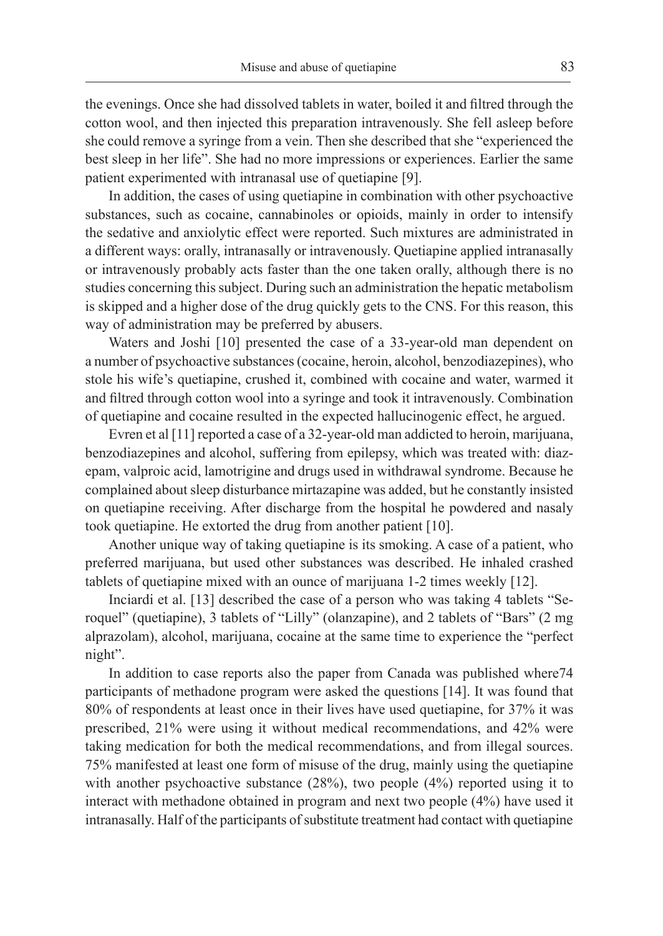the evenings. Once she had dissolved tablets in water, boiled it and filtred through the cotton wool, and then injected this preparation intravenously. She fell asleep before she could remove a syringe from a vein. Then she described that she "experienced the best sleep in her life". She had no more impressions or experiences. Earlier the same patient experimented with intranasal use of quetiapine [9].

In addition, the cases of using quetiapine in combination with other psychoactive substances, such as cocaine, cannabinoles or opioids, mainly in order to intensify the sedative and anxiolytic effect were reported. Such mixtures are administrated in a different ways: orally, intranasally or intravenously. Quetiapine applied intranasally or intravenously probably acts faster than the one taken orally, although there is no studies concerning this subject. During such an administration the hepatic metabolism is skipped and a higher dose of the drug quickly gets to the CNS. For this reason, this way of administration may be preferred by abusers.

Waters and Joshi [10] presented the case of a 33-year-old man dependent on a number of psychoactive substances (cocaine, heroin, alcohol, benzodiazepines), who stole his wife's quetiapine, crushed it, combined with cocaine and water, warmed it and filtred through cotton wool into a syringe and took it intravenously. Combination of quetiapine and cocaine resulted in the expected hallucinogenic effect, he argued.

Evren et al [11] reported a case of a 32-year-old man addicted to heroin, marijuana, benzodiazepines and alcohol, suffering from epilepsy, which was treated with: diazepam, valproic acid, lamotrigine and drugs used in withdrawal syndrome. Because he complained about sleep disturbance mirtazapine was added, but he constantly insisted on quetiapine receiving. After discharge from the hospital he powdered and nasaly took quetiapine. He extorted the drug from another patient [10].

Another unique way of taking quetiapine is its smoking. A case of a patient, who preferred marijuana, but used other substances was described. He inhaled crashed tablets of quetiapine mixed with an ounce of marijuana 1-2 times weekly [12].

Inciardi et al. [13] described the case of a person who was taking 4 tablets "Seroquel" (quetiapine), 3 tablets of "Lilly" (olanzapine), and 2 tablets of "Bars" (2 mg alprazolam), alcohol, marijuana, cocaine at the same time to experience the "perfect night".

In addition to case reports also the paper from Canada was published where74 participants of methadone program were asked the questions [14]. It was found that 80% of respondents at least once in their lives have used quetiapine, for 37% it was prescribed, 21% were using it without medical recommendations, and 42% were taking medication for both the medical recommendations, and from illegal sources. 75% manifested at least one form of misuse of the drug, mainly using the quetiapine with another psychoactive substance (28%), two people (4%) reported using it to interact with methadone obtained in program and next two people (4%) have used it intranasally. Half of the participants of substitute treatment had contact with quetiapine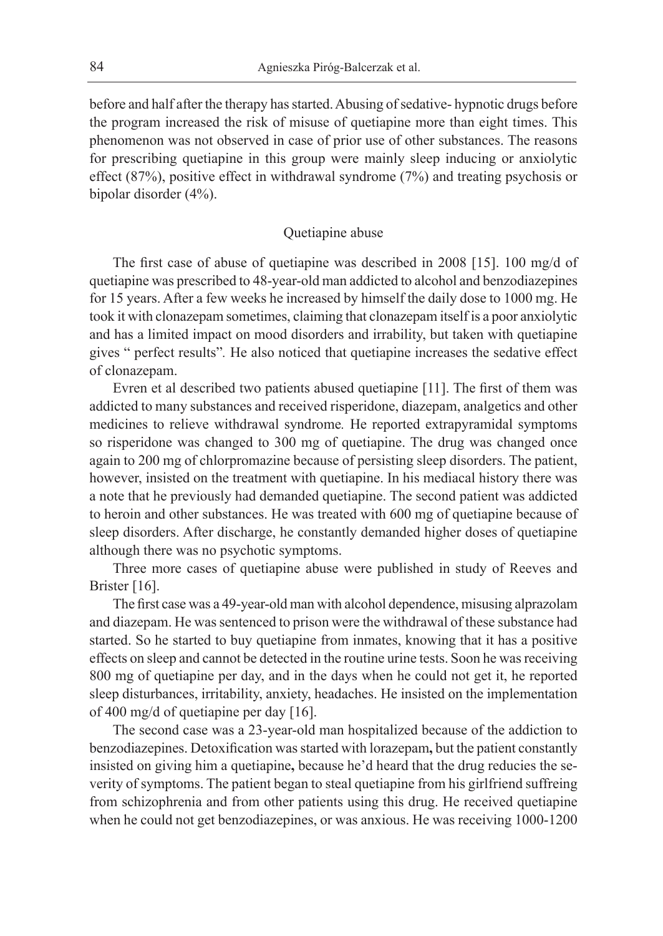before and half after the therapy has started. Abusing of sedative- hypnotic drugs before the program increased the risk of misuse of quetiapine more than eight times. This phenomenon was not observed in case of prior use of other substances. The reasons for prescribing quetiapine in this group were mainly sleep inducing or anxiolytic effect (87%), positive effect in withdrawal syndrome (7%) and treating psychosis or bipolar disorder (4%).

#### Quetiapine abuse

The first case of abuse of quetiapine was described in 2008 [15]. 100 mg/d of quetiapine was prescribed to 48-year-old man addicted to alcohol and benzodiazepines for 15 years. After a few weeks he increased by himself the daily dose to 1000 mg. He took it with clonazepam sometimes, claiming that clonazepam itself is a poor anxiolytic and has a limited impact on mood disorders and irrability, but taken with quetiapine gives " perfect results"*.* He also noticed that quetiapine increases the sedative effect of clonazepam.

Evren et al described two patients abused quetiapine [11]. The first of them was addicted to many substances and received risperidone, diazepam, analgetics and other medicines to relieve withdrawal syndrome*.* He reported extrapyramidal symptoms so risperidone was changed to 300 mg of quetiapine. The drug was changed once again to 200 mg of chlorpromazine because of persisting sleep disorders. The patient, however, insisted on the treatment with quetiapine. In his mediacal history there was a note that he previously had demanded quetiapine. The second patient was addicted to heroin and other substances. He was treated with 600 mg of quetiapine because of sleep disorders. After discharge, he constantly demanded higher doses of quetiapine although there was no psychotic symptoms.

Three more cases of quetiapine abuse were published in study of Reeves and Brister [16].

The first case was a 49-year-old man with alcohol dependence, misusing alprazolam and diazepam. He was sentenced to prison were the withdrawal of these substance had started. So he started to buy quetiapine from inmates, knowing that it has a positive effects on sleep and cannot be detected in the routine urine tests. Soon he was receiving 800 mg of quetiapine per day, and in the days when he could not get it, he reported sleep disturbances, irritability, anxiety, headaches. He insisted on the implementation of 400 mg/d of quetiapine per day [16].

The second case was a 23-year-old man hospitalized because of the addiction to benzodiazepines. Detoxification was started with lorazepam**,** but the patient constantly insisted on giving him a quetiapine**,** because he'd heard that the drug reducies the severity of symptoms. The patient began to steal quetiapine from his girlfriend suffreing from schizophrenia and from other patients using this drug. He received quetiapine when he could not get benzodiazepines, or was anxious. He was receiving 1000-1200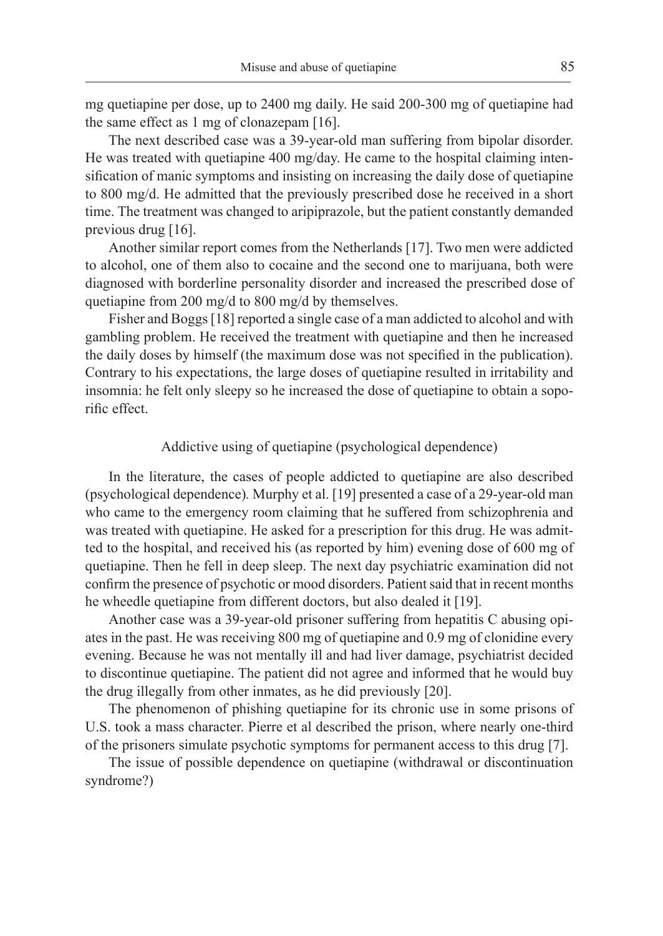mg quetiapine per dose, up to 2400 mg daily. He said 200-300 mg of quetiapine had the same effect as 1 mg of clonazepam [16].

The next described case was a 39-year-old man suffering from bipolar disorder. He was treated with quetiapine 400 mg/day. He came to the hospital claiming intensification of manic symptoms and insisting on increasing the daily dose of quetiapine to 800 mg/d. He admitted that the previously prescribed dose he received in a short time. The treatment was changed to aripiprazole, but the patient constantly demanded previous drug [16].

Another similar report comes from the Netherlands [17]. Two men were addicted to alcohol, one of them also to cocaine and the second one to marijuana, both were diagnosed with borderline personality disorder and increased the prescribed dose of quetiapine from 200 mg/d to 800 mg/d by themselves.

Fisher and Boggs [18] reported a single case of a man addicted to alcohol and with gambling problem. He received the treatment with quetiapine and then he increased the daily doses by himself (the maximum dose was not specified in the publication). Contrary to his expectations, the large doses of quetiapine resulted in irritability and insomnia: he felt only sleepy so he increased the dose of quetiapine to obtain a soporific effect.

## Addictive using of quetiapine (psychological dependence)

In the literature, the cases of people addicted to quetiapine are also described (psychological dependence)*.* Murphy et al. [19] presented a case of a 29-year-old man who came to the emergency room claiming that he suffered from schizophrenia and was treated with quetiapine. He asked for a prescription for this drug. He was admitted to the hospital, and received his (as reported by him) evening dose of 600 mg of quetiapine. Then he fell in deep sleep. The next day psychiatric examination did not confirm the presence of psychotic or mood disorders. Patient said that in recent months he wheedle quetiapine from different doctors, but also dealed it [19].

Another case was a 39-year-old prisoner suffering from hepatitis C abusing opiates in the past. He was receiving 800 mg of quetiapine and 0.9 mg of clonidine every evening. Because he was not mentally ill and had liver damage, psychiatrist decided to discontinue quetiapine. The patient did not agree and informed that he would buy the drug illegally from other inmates, as he did previously [20].

The phenomenon of phishing quetiapine for its chronic use in some prisons of U.S. took a mass character. Pierre et al described the prison, where nearly one-third of the prisoners simulate psychotic symptoms for permanent access to this drug [7].

The issue of possible dependence on quetiapine (withdrawal or discontinuation syndrome?)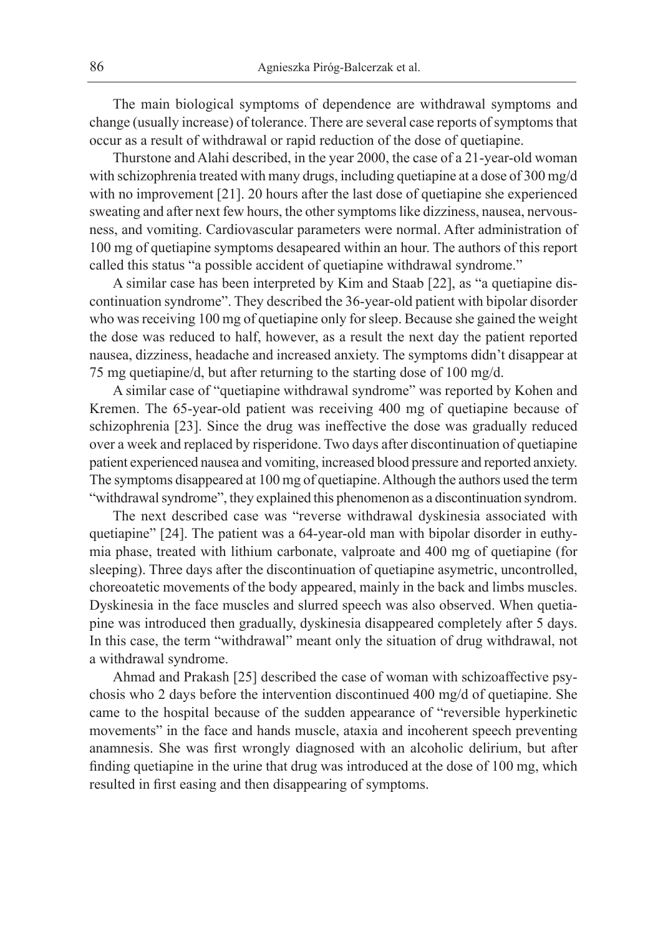The main biological symptoms of dependence are withdrawal symptoms and change (usually increase) of tolerance. There are several case reports of symptoms that occur as a result of withdrawal or rapid reduction of the dose of quetiapine.

Thurstone and Alahi described, in the year 2000, the case of a 21-year-old woman with schizophrenia treated with many drugs, including quetiapine at a dose of 300 mg/d with no improvement [21]. 20 hours after the last dose of quetiapine she experienced sweating and after next few hours, the other symptoms like dizziness, nausea, nervousness, and vomiting. Cardiovascular parameters were normal. After administration of 100 mg of quetiapine symptoms desapeared within an hour. The authors of this report called this status "a possible accident of quetiapine withdrawal syndrome."

A similar case has been interpreted by Kim and Staab [22], as "a quetiapine discontinuation syndrome". They described the 36-year-old patient with bipolar disorder who was receiving 100 mg of quetiapine only for sleep. Because she gained the weight the dose was reduced to half, however, as a result the next day the patient reported nausea, dizziness, headache and increased anxiety. The symptoms didn't disappear at 75 mg quetiapine/d, but after returning to the starting dose of 100 mg/d.

A similar case of "quetiapine withdrawal syndrome" was reported by Kohen and Kremen. The 65-year-old patient was receiving 400 mg of quetiapine because of schizophrenia [23]. Since the drug was ineffective the dose was gradually reduced over a week and replaced by risperidone. Two days after discontinuation of quetiapine patient experienced nausea and vomiting, increased blood pressure and reported anxiety. The symptoms disappeared at 100 mg of quetiapine. Although the authors used the term "withdrawal syndrome", they explained this phenomenon as a discontinuation syndrom.

The next described case was "reverse withdrawal dyskinesia associated with quetiapine" [24]. The patient was a 64-year-old man with bipolar disorder in euthymia phase, treated with lithium carbonate, valproate and 400 mg of quetiapine (for sleeping). Three days after the discontinuation of quetiapine asymetric, uncontrolled, choreoatetic movements of the body appeared, mainly in the back and limbs muscles. Dyskinesia in the face muscles and slurred speech was also observed. When quetiapine was introduced then gradually, dyskinesia disappeared completely after 5 days. In this case, the term "withdrawal" meant only the situation of drug withdrawal, not a withdrawal syndrome.

Ahmad and Prakash [25] described the case of woman with schizoaffective psychosis who 2 days before the intervention discontinued 400 mg/d of quetiapine. She came to the hospital because of the sudden appearance of "reversible hyperkinetic movements" in the face and hands muscle, ataxia and incoherent speech preventing anamnesis. She was first wrongly diagnosed with an alcoholic delirium, but after finding quetiapine in the urine that drug was introduced at the dose of 100 mg, which resulted in first easing and then disappearing of symptoms.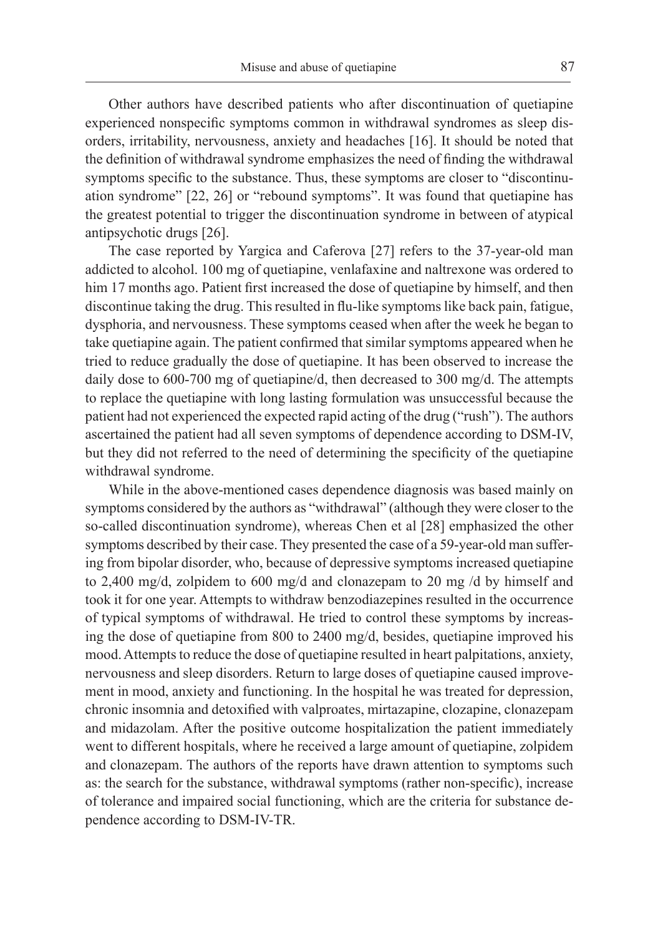Other authors have described patients who after discontinuation of quetiapine experienced nonspecific symptoms common in withdrawal syndromes as sleep disorders, irritability, nervousness, anxiety and headaches [16]. It should be noted that the definition of withdrawal syndrome emphasizes the need of finding the withdrawal symptoms specific to the substance. Thus, these symptoms are closer to "discontinuation syndrome" [22, 26] or "rebound symptoms". It was found that quetiapine has the greatest potential to trigger the discontinuation syndrome in between of atypical antipsychotic drugs [26].

The case reported by Yargica and Caferova [27] refers to the 37-year-old man addicted to alcohol. 100 mg of quetiapine, venlafaxine and naltrexone was ordered to him 17 months ago. Patient first increased the dose of quetiapine by himself, and then discontinue taking the drug. This resulted in flu-like symptoms like back pain, fatigue, dysphoria, and nervousness. These symptoms ceased when after the week he began to take quetiapine again. The patient confirmed that similar symptoms appeared when he tried to reduce gradually the dose of quetiapine. It has been observed to increase the daily dose to 600-700 mg of quetiapine/d, then decreased to 300 mg/d. The attempts to replace the quetiapine with long lasting formulation was unsuccessful because the patient had not experienced the expected rapid acting of the drug ("rush"). The authors ascertained the patient had all seven symptoms of dependence according to DSM-IV, but they did not referred to the need of determining the specificity of the quetiapine withdrawal syndrome.

While in the above-mentioned cases dependence diagnosis was based mainly on symptoms considered by the authors as "withdrawal" (although they were closer to the so-called discontinuation syndrome), whereas Chen et al [28] emphasized the other symptoms described by their case. They presented the case of a 59-year-old man suffering from bipolar disorder, who, because of depressive symptoms increased quetiapine to 2,400 mg/d, zolpidem to 600 mg/d and clonazepam to 20 mg /d by himself and took it for one year. Attempts to withdraw benzodiazepines resulted in the occurrence of typical symptoms of withdrawal. He tried to control these symptoms by increasing the dose of quetiapine from 800 to 2400 mg/d, besides, quetiapine improved his mood. Attempts to reduce the dose of quetiapine resulted in heart palpitations, anxiety, nervousness and sleep disorders. Return to large doses of quetiapine caused improvement in mood, anxiety and functioning. In the hospital he was treated for depression, chronic insomnia and detoxified with valproates, mirtazapine, clozapine, clonazepam and midazolam. After the positive outcome hospitalization the patient immediately went to different hospitals, where he received a large amount of quetiapine, zolpidem and clonazepam. The authors of the reports have drawn attention to symptoms such as: the search for the substance, withdrawal symptoms (rather non-specific), increase of tolerance and impaired social functioning, which are the criteria for substance dependence according to DSM-IV-TR.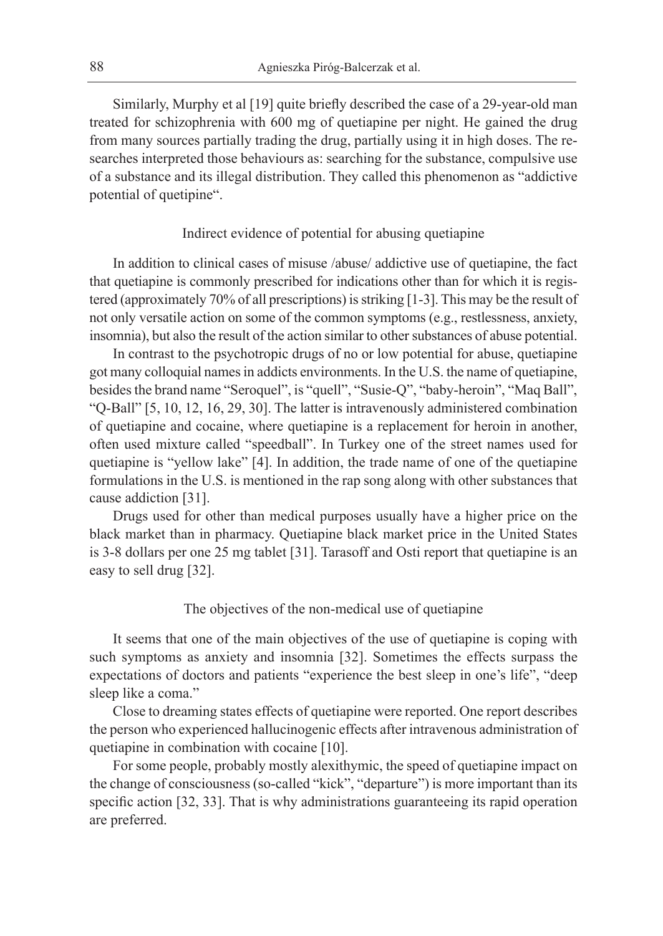Similarly, Murphy et al [19] quite briefly described the case of a 29-year-old man treated for schizophrenia with 600 mg of quetiapine per night. He gained the drug from many sources partially trading the drug, partially using it in high doses. The researches interpreted those behaviours as: searching for the substance, compulsive use of a substance and its illegal distribution. They called this phenomenon as "addictive potential of quetipine".

## Indirect evidence of potential for abusing quetiapine

In addition to clinical cases of misuse /abuse/ addictive use of quetiapine, the fact that quetiapine is commonly prescribed for indications other than for which it is registered (approximately 70% of all prescriptions) is striking [1-3]. This may be the result of not only versatile action on some of the common symptoms (e.g., restlessness, anxiety, insomnia), but also the result of the action similar to other substances of abuse potential.

In contrast to the psychotropic drugs of no or low potential for abuse, quetiapine got many colloquial names in addicts environments. In the U.S. the name of quetiapine, besides the brand name "Seroquel", is "quell", "Susie-Q", "baby-heroin", "Maq Ball", "Q-Ball" [5, 10, 12, 16, 29, 30]. The latter is intravenously administered combination of quetiapine and cocaine, where quetiapine is a replacement for heroin in another, often used mixture called "speedball". In Turkey one of the street names used for quetiapine is "yellow lake" [4]. In addition, the trade name of one of the quetiapine formulations in the U.S. is mentioned in the rap song along with other substances that cause addiction [31].

Drugs used for other than medical purposes usually have a higher price on the black market than in pharmacy. Quetiapine black market price in the United States is 3-8 dollars per one 25 mg tablet [31]. Tarasoff and Osti report that quetiapine is an easy to sell drug [32].

#### The objectives of the non-medical use of quetiapine

It seems that one of the main objectives of the use of quetiapine is coping with such symptoms as anxiety and insomnia [32]. Sometimes the effects surpass the expectations of doctors and patients "experience the best sleep in one's life", "deep sleep like a coma."

Close to dreaming states effects of quetiapine were reported. One report describes the person who experienced hallucinogenic effects after intravenous administration of quetiapine in combination with cocaine [10].

For some people, probably mostly alexithymic, the speed of quetiapine impact on the change of consciousness (so-called "kick", "departure") is more important than its specific action [32, 33]. That is why administrations guaranteeing its rapid operation are preferred.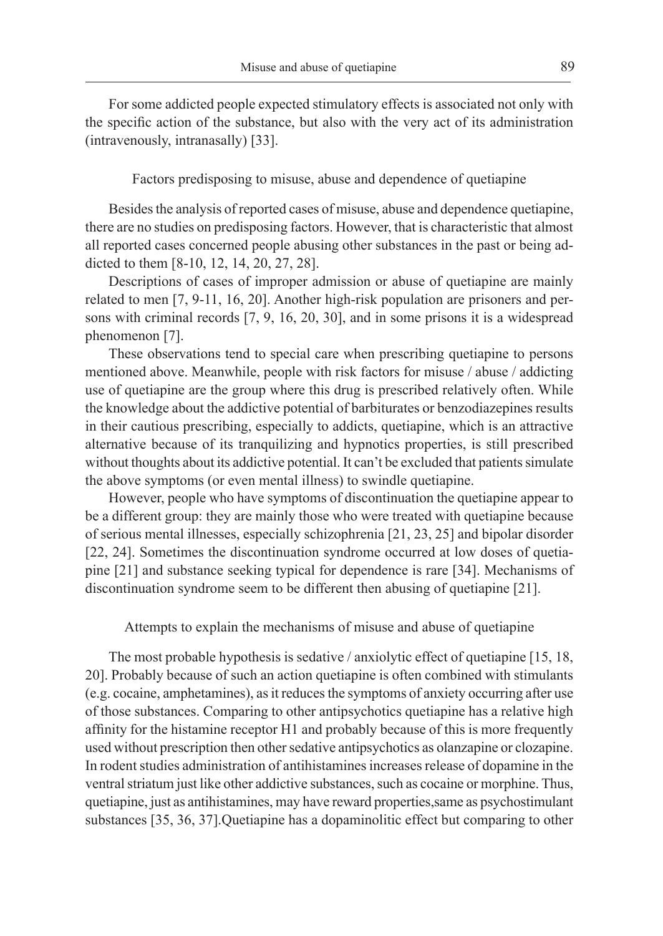For some addicted people expected stimulatory effects is associated not only with the specific action of the substance, but also with the very act of its administration (intravenously, intranasally) [33].

Factors predisposing to misuse, abuse and dependence of quetiapine

Besides the analysis of reported cases of misuse, abuse and dependence quetiapine, there are no studies on predisposing factors. However, that is characteristic that almost all reported cases concerned people abusing other substances in the past or being addicted to them [8-10, 12, 14, 20, 27, 28].

Descriptions of cases of improper admission or abuse of quetiapine are mainly related to men [7, 9-11, 16, 20]. Another high-risk population are prisoners and persons with criminal records [7, 9, 16, 20, 30], and in some prisons it is a widespread phenomenon [7].

These observations tend to special care when prescribing quetiapine to persons mentioned above. Meanwhile, people with risk factors for misuse / abuse / addicting use of quetiapine are the group where this drug is prescribed relatively often. While the knowledge about the addictive potential of barbiturates or benzodiazepines results in their cautious prescribing, especially to addicts, quetiapine, which is an attractive alternative because of its tranquilizing and hypnotics properties, is still prescribed without thoughts about its addictive potential. It can't be excluded that patients simulate the above symptoms (or even mental illness) to swindle quetiapine.

However, people who have symptoms of discontinuation the quetiapine appear to be a different group: they are mainly those who were treated with quetiapine because of serious mental illnesses, especially schizophrenia [21, 23, 25] and bipolar disorder [22, 24]. Sometimes the discontinuation syndrome occurred at low doses of quetiapine [21] and substance seeking typical for dependence is rare [34]. Mechanisms of discontinuation syndrome seem to be different then abusing of quetiapine [21].

Attempts to explain the mechanisms of misuse and abuse of quetiapine

The most probable hypothesis is sedative / anxiolytic effect of quetiapine [15, 18, 20]. Probably because of such an action quetiapine is often combined with stimulants (e.g. cocaine, amphetamines), as it reduces the symptoms of anxiety occurring after use of those substances. Comparing to other antipsychotics quetiapine has a relative high affinity for the histamine receptor H1 and probably because of this is more frequently used without prescription then other sedative antipsychotics as olanzapine or clozapine. In rodent studies administration of antihistamines increases release of dopamine in the ventral striatum just like other addictive substances, such as cocaine or morphine. Thus, quetiapine, just as antihistamines, may have reward properties,same as psychostimulant substances [35, 36, 37].Quetiapine has a dopaminolitic effect but comparing to other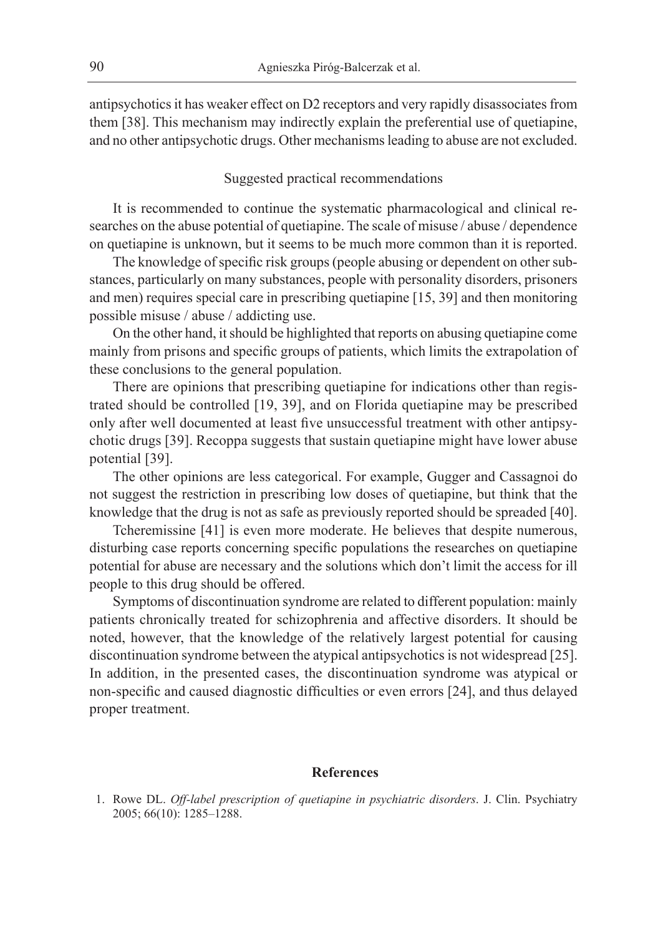antipsychotics it has weaker effect on D2 receptors and very rapidly disassociates from them [38]. This mechanism may indirectly explain the preferential use of quetiapine, and no other antipsychotic drugs. Other mechanisms leading to abuse are not excluded.

## Suggested practical recommendations

It is recommended to continue the systematic pharmacological and clinical researches on the abuse potential of quetiapine. The scale of misuse / abuse / dependence on quetiapine is unknown, but it seems to be much more common than it is reported.

The knowledge of specific risk groups (people abusing or dependent on other substances, particularly on many substances, people with personality disorders, prisoners and men) requires special care in prescribing quetiapine [15, 39] and then monitoring possible misuse / abuse / addicting use.

On the other hand, it should be highlighted that reports on abusing quetiapine come mainly from prisons and specific groups of patients, which limits the extrapolation of these conclusions to the general population.

There are opinions that prescribing quetiapine for indications other than registrated should be controlled [19, 39], and on Florida quetiapine may be prescribed only after well documented at least five unsuccessful treatment with other antipsychotic drugs [39]. Recoppa suggests that sustain quetiapine might have lower abuse potential [39].

The other opinions are less categorical. For example, Gugger and Cassagnoi do not suggest the restriction in prescribing low doses of quetiapine, but think that the knowledge that the drug is not as safe as previously reported should be spreaded [40].

Tcheremissine [41] is even more moderate. He believes that despite numerous, disturbing case reports concerning specific populations the researches on quetiapine potential for abuse are necessary and the solutions which don't limit the access for ill people to this drug should be offered.

Symptoms of discontinuation syndrome are related to different population: mainly patients chronically treated for schizophrenia and affective disorders. It should be noted, however, that the knowledge of the relatively largest potential for causing discontinuation syndrome between the atypical antipsychotics is not widespread [25]. In addition, in the presented cases, the discontinuation syndrome was atypical or non-specific and caused diagnostic difficulties or even errors [24], and thus delayed proper treatment.

#### **References**

1. Rowe DL. *Off-label prescription of quetiapine in psychiatric disorders*. J. Clin. Psychiatry 2005; 66(10): 1285–1288.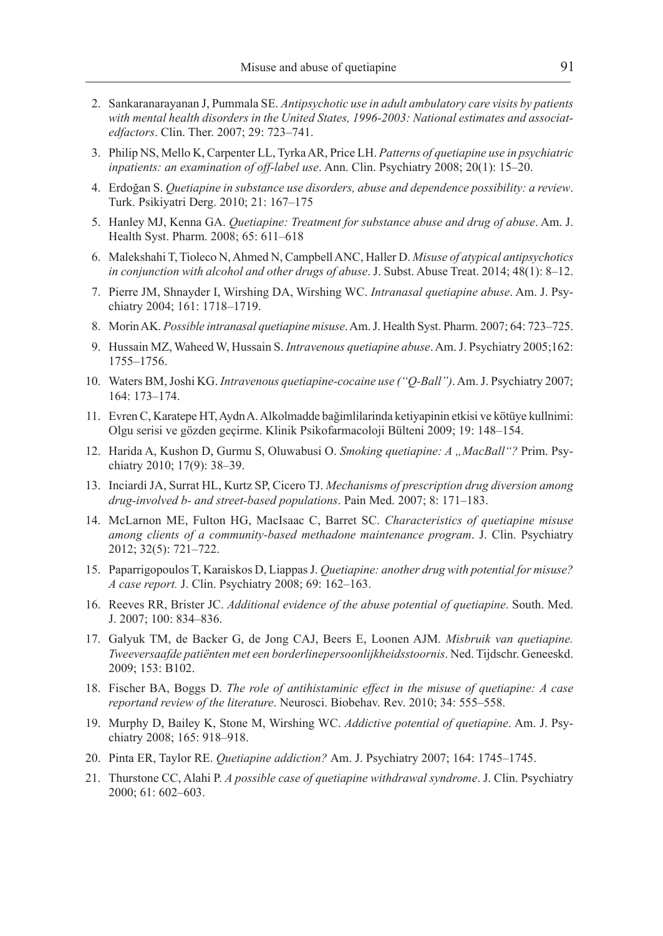- 2. Sankaranarayanan J, Pummala SE. *Antipsychotic use in adult ambulatory care visits by patients with mental health disorders in the United States, 1996-2003: National estimates and associatedfactors*. Clin. Ther. 2007; 29: 723–741.
- 3. Philip NS, Mello K, Carpenter LL, Tyrka AR, Price LH. *Patterns of quetiapine use in psychiatric inpatients: an examination of off-label use*. Ann. Clin. Psychiatry 2008; 20(1): 15–20.
- 4. Erdoğan S. *Quetiapine in substance use disorders, abuse and dependence possibility: a review*. Turk. Psikiyatri Derg. 2010; 21: 167–175
- 5. Hanley MJ, Kenna GA. *Quetiapine: Treatment for substance abuse and drug of abuse*. Am. J. Health Syst. Pharm. 2008; 65: 611–618
- 6. Malekshahi T, Tioleco N, Ahmed N, Campbell ANC, Haller D. *Misuse of atypical antipsychotics in conjunction with alcohol and other drugs of abuse*. J. Subst. Abuse Treat. 2014; 48(1): 8–12.
- 7. Pierre JM, Shnayder I, Wirshing DA, Wirshing WC. *Intranasal quetiapine abuse*. Am. J. Psychiatry 2004; 161: 1718–1719.
- 8. Morin AK. *Possible intranasal quetiapine misuse*. Am. J. Health Syst. Pharm. 2007; 64: 723–725.
- 9. Hussain MZ, Waheed W, Hussain S. *Intravenous quetiapine abuse*. Am. J. Psychiatry 2005;162: 1755–1756.
- 10. Waters BM, Joshi KG. *Intravenous quetiapine-cocaine use ("Q-Ball")*. Am. J. Psychiatry 2007; 164: 173–174.
- 11. Evren C, Karatepe HT, Aydn A. Alkolmadde bağimlilarinda ketiyapinin etkisi ve kötüye kullnimi: Olgu serisi ve gözden geçirme. Klinik Psikofarmacoloji Bülteni 2009; 19: 148–154.
- 12. Harida A, Kushon D, Gurmu S, Oluwabusi O. *Smoking quetiapine: A "MacBall"?* Prim. Psychiatry 2010; 17(9): 38–39.
- 13. Inciardi JA, Surrat HL, Kurtz SP, Cicero TJ. *Mechanisms of prescription drug diversion among drug-involved b- and street-based populations*. Pain Med. 2007; 8: 171–183.
- 14. McLarnon ME, Fulton HG, MacIsaac C, Barret SC. *Characteristics of quetiapine misuse among clients of a community-based methadone maintenance program*. J. Clin. Psychiatry 2012; 32(5): 721–722.
- 15. Paparrigopoulos T, Karaiskos D, Liappas J. *Quetiapine: another drug with potential for misuse? A case report.* J. Clin. Psychiatry 2008; 69: 162–163.
- 16. Reeves RR, Brister JC. *Additional evidence of the abuse potential of quetiapine*. South. Med. J. 2007; 100: 834–836.
- 17. Galyuk TM, de Backer G, de Jong CAJ, Beers E, Loonen AJM. *Misbruik van quetiapine. Tweeversaafde patiënten met een borderlinepersoonlijkheidsstoornis*. Ned. Tijdschr. Geneeskd. 2009; 153: B102.
- 18. Fischer BA, Boggs D. *The role of antihistaminic effect in the misuse of quetiapine: A case reportand review of the literature*. Neurosci. Biobehav. Rev. 2010; 34: 555–558.
- 19. Murphy D, Bailey K, Stone M, Wirshing WC. *Addictive potential of quetiapine*. Am. J. Psychiatry 2008; 165: 918–918.
- 20. Pinta ER, Taylor RE. *Quetiapine addiction?* Am. J. Psychiatry 2007; 164: 1745–1745.
- 21. Thurstone CC, Alahi P. *A possible case of quetiapine withdrawal syndrome*. J. Clin. Psychiatry 2000; 61: 602–603.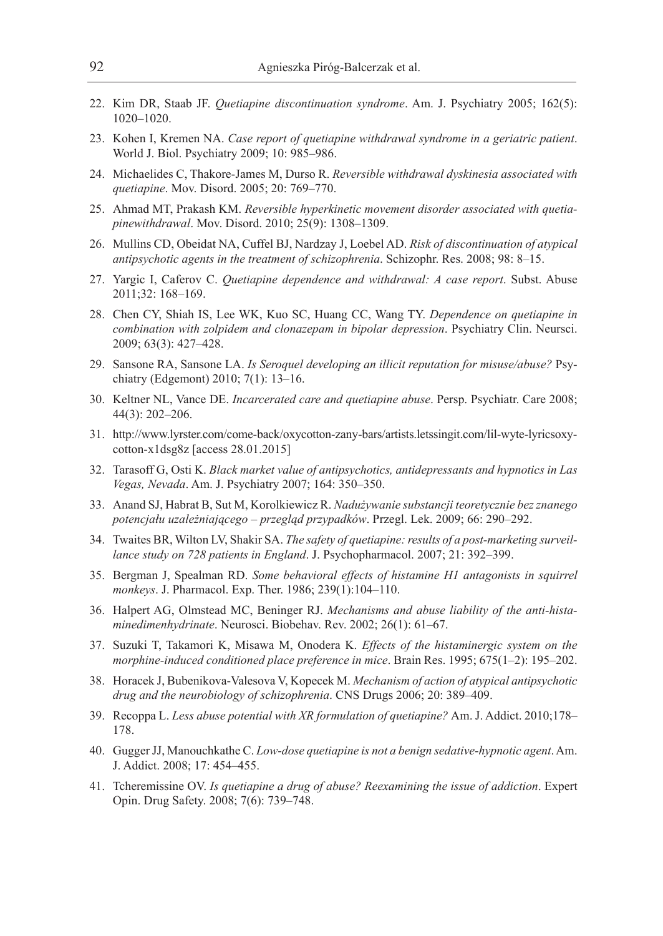- 22. Kim DR, Staab JF. *Quetiapine discontinuation syndrome*. Am. J. Psychiatry 2005; 162(5): 1020–1020.
- 23. Kohen I, Kremen NA. *Case report of quetiapine withdrawal syndrome in a geriatric patient*. World J. Biol. Psychiatry 2009; 10: 985–986.
- 24. Michaelides C, Thakore-James M, Durso R. *Reversible withdrawal dyskinesia associated with quetiapine*. Mov. Disord. 2005; 20: 769–770.
- 25. Ahmad MT, Prakash KM. *Reversible hyperkinetic movement disorder associated with quetiapinewithdrawal*. Mov. Disord. 2010; 25(9): 1308–1309.
- 26. Mullins CD, Obeidat NA, Cuffel BJ, Nardzay J, Loebel AD. *Risk of discontinuation of atypical antipsychotic agents in the treatment of schizophrenia*. Schizophr. Res. 2008; 98: 8–15.
- 27. Yargic I, Caferov C. *Quetiapine dependence and withdrawal: A case report*. Subst. Abuse 2011;32: 168–169.
- 28. Chen CY, Shiah IS, Lee WK, Kuo SC, Huang CC, Wang TY. *Dependence on quetiapine in combination with zolpidem and clonazepam in bipolar depression*. Psychiatry Clin. Neursci. 2009; 63(3): 427–428.
- 29. Sansone RA, Sansone LA. *Is Seroquel developing an illicit reputation for misuse/abuse?* Psychiatry (Edgemont) 2010; 7(1): 13–16.
- 30. Keltner NL, Vance DE. *Incarcerated care and quetiapine abuse*. Persp. Psychiatr. Care 2008; 44(3): 202–206.
- 31. http://www.lyrster.com/come-back/oxycotton-zany-bars/artists.letssingit.com/lil-wyte-lyricsoxycotton-x1dsg8z [access 28.01.2015]
- 32. Tarasoff G, Osti K. *Black market value of antipsychotics, antidepressants and hypnotics in Las Vegas, Nevada*. Am. J. Psychiatry 2007; 164: 350–350.
- 33. Anand SJ, Habrat B, Sut M, Korolkiewicz R. *Nadużywanie substancji teoretycznie bez znanego potencjału uzależniającego – przegląd przypadków*. Przegl. Lek. 2009; 66: 290–292.
- 34. Twaites BR, Wilton LV, Shakir SA. *The safety of quetiapine: results of a post-marketing surveillance study on 728 patients in England*. J. Psychopharmacol. 2007; 21: 392–399.
- 35. Bergman J, Spealman RD. *Some behavioral effects of histamine H1 antagonists in squirrel monkeys*. J. Pharmacol. Exp. Ther. 1986; 239(1):104–110.
- 36. Halpert AG, Olmstead MC, Beninger RJ. *Mechanisms and abuse liability of the anti-histaminedimenhydrinate*. Neurosci. Biobehav. Rev. 2002; 26(1): 61–67.
- 37. Suzuki T, Takamori K, Misawa M, Onodera K. *Effects of the histaminergic system on the morphine-induced conditioned place preference in mice*. Brain Res. 1995; 675(1–2): 195–202.
- 38. Horacek J, Bubenikova-Valesova V, Kopecek M. *Mechanism of action of atypical antipsychotic drug and the neurobiology of schizophrenia*. CNS Drugs 2006; 20: 389–409.
- 39. Recoppa L. *Less abuse potential with XR formulation of quetiapine?* Am. J. Addict. 2010;178– 178.
- 40. Gugger JJ, Manouchkathe C. *Low-dose quetiapine is not a benign sedative-hypnotic agent*. Am. J. Addict. 2008; 17: 454–455.
- 41. Tcheremissine OV. *Is quetiapine a drug of abuse? Reexamining the issue of addiction*. Expert Opin. Drug Safety. 2008; 7(6): 739–748.